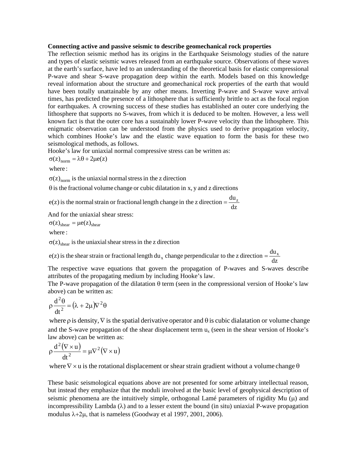## **Connecting active and passive seismic to describe geomechanical rock properties**

The reflection seismic method has its origins in the Earthquake Seismology studies of the nature and types of elastic seismic waves released from an earthquake source. Observations of these waves at the earth's surface, have led to an understanding of the theoretical basis for elastic compressional P-wave and shear S-wave propagation deep within the earth. Models based on this knowledge reveal information about the structure and geomechanical rock properties of the earth that would have been totally unattainable by any other means. Inverting P-wave and S-wave wave arrival times, has predicted the presence of a lithosphere that is sufficiently brittle to act as the focal region for earthquakes. A crowning success of these studies has established an outer core underlying the lithosphere that supports no S-waves, from which it is deduced to be molten. However, a less well known fact is that the outer core has a sustainably lower P-wave velocity than the lithosphere. This enigmatic observation can be understood from the physics used to derive propagation velocity, which combines Hooke's law and the elastic wave equation to form the basis for these two seismological methods, as follows.

Hooke's law for uniaxial normal compressive stress can be written as:

 $\sigma(z)_{\text{norm}} = \lambda \theta + 2\mu e(z)$ 

where:

 $\sigma(z)_{\text{norm}}$  is the uniaxial normal stress in the z direction

 $\theta$  is the fractional volume change or cubic dilatation in x, y and z directions

dz e(z) is the normal strain or fractional length change in the z direction  $=\frac{du}{dx}$ 

And for the uniaxial shear stress:

where:  $\sigma(z)_{\text{shear}} = \mu e(z)_{\text{shear}}$ 

 $\sigma(z)_{\text{shear}}$  is the uniaxial shear stress in the z direction

dz e(z) is the shear strain or fractional length du<sub>x</sub> change perpendicular to the z direction  $=\frac{du_x}{dt}$ 

The respective wave equations that govern the propagation of P-waves and S-waves describe attributes of the propagating medium by including Hooke's law.

The P-wave propagation of the dilatation  $\theta$  term (seen in the compressional version of Hooke's law above) can be written as:

$$
\rho \frac{d^2 \theta}{dt^2} = (\lambda + 2\mu)\nabla^2 \theta
$$

where  $\rho$  is density,  $\nabla$  is the spatial derivative operator and  $\theta$  is cubic dialatation or volume change and the S-wave propagation of the shear displacement term  $u_x$  (seen in the shear version of Hooke's law above) can be written as:

$$
\rho \frac{d^2 (\nabla \times u)}{dt^2} = \mu \nabla^2 (\nabla \times u)
$$

where  $\nabla \times u$  is the rotational displacement or shear strain gradient without a volume change  $\theta$ 

These basic seismological equations above are not presented for some arbitrary intellectual reason, but instead they emphasize that the moduli involved at the basic level of geophysical description of seismic phenomena are the intuitively simple, orthogonal Lamé parameters of rigidity Mu (μ) and incompressibility Lambda  $(\lambda)$  and to a lesser extent the bound (in situ) uniaxial P-wave propagation modulus  $\lambda + 2\mu$ , that is nameless (Goodway et al 1997, 2001, 2006).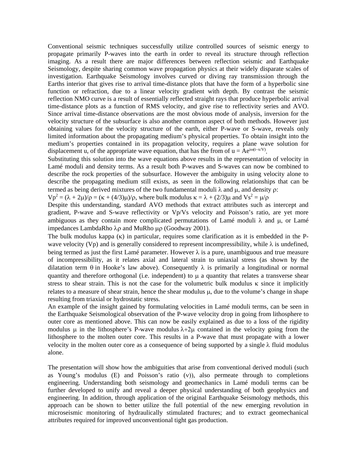Conventional seismic techniques successfully utilize controlled sources of seismic energy to propagate primarily P-waves into the earth in order to reveal its structure through reflection imaging. As a result there are major differences between reflection seismic and Earthquake Seismology, despite sharing common wave propagation physics at their widely disparate scales of investigation. Earthquake Seismology involves curved or diving ray transmission through the Earths interior that gives rise to arrival time-distance plots that have the form of a hyperbolic sine function or refraction, due to a linear velocity gradient with depth. By contrast the seismic reflection NMO curve is a result of essentially reflected straight rays that produce hyperbolic arrival time-distance plots as a function of RMS velocity, and give rise to reflectivity series and AVO. Since arrival time-distance observations are the most obvious mode of analysis, inversion for the velocity structure of the subsurface is also another common aspect of both methods. However just obtaining values for the velocity structure of the earth, either P-wave or S-wave, reveals only limited information about the propagating medium's physical properties. To obtain insight into the medium's properties contained in its propagation velocity, requires a plane wave solution for displacement u, of the appropriate wave equation, that has the from of  $u = Ae^{i\omega(t-x/V)}$ .

Substituting this solution into the wave equations above results in the representation of velocity in Lamé moduli and density terms. As a result both P-waves and S-waves can now be combined to describe the rock properties of the subsurface. However the ambiguity in using velocity alone to describe the propagating medium still exists, as seen in the following relationships that can be termed as being derived mixtures of the two fundamental moduli  $\lambda$  and  $\mu$ , and density  $\rho$ :

 $Vp^{2} = (\lambda + 2\mu)/\rho = (\kappa + (4/3)\mu)/\rho$ , where bulk modulus  $\kappa = \lambda + (2/3)\mu$  and  $Vs^{2} = \mu/\rho$ 

Despite this understanding, standard AVO methods that extract attributes such as intercept and gradient, P-wave and S-wave reflectivity or Vp/Vs velocity and Poisson's ratio, are yet more ambiguous as they contain more complicated permutations of Lamé moduli  $\lambda$  and  $\mu$ , or Lamé impedances LambdaRho λρ and MuRho μρ (Goodway 2001).

The bulk modulus kappa (κ) in particular, requires some clarification as it is embedded in the Pwave velocity (Vp) and is generally considered to represent incompressibility, while  $\lambda$  is undefined, being termed as just the first Lamé parameter. However  $\lambda$  is a pure, unambiguous and true measure of incompressibility, as it relates axial and lateral strain to uniaxial stress (as shown by the dilatation term  $\theta$  in Hooke's law above). Consequently  $\lambda$  is primarily a longitudinal or normal quantity and therefore orthogonal (i.e. independent) to  $\mu$  a quantity that relates a transverse shear stress to shear strain. This is not the case for the volumetric bulk modulus  $\kappa$  since it implicitly relates to a measure of shear strain, hence the shear modulus  $\mu$ , due to the volume's change in shape resulting from triaxial or hydrostatic stress.

An example of the insight gained by formulating velocities in Lamé moduli terms, can be seen in the Earthquake Seismological observation of the P-wave velocity drop in going from lithosphere to outer core as mentioned above. This can now be easily explained as due to a loss of the rigidity modulus  $\mu$  in the lithosphere's P-wave modulus  $\lambda+2\mu$  contained in the velocity going from the lithosphere to the molten outer core. This results in a P-wave that must propagate with a lower velocity in the molten outer core as a consequence of being supported by a single  $\lambda$  fluid modulus alone.

The presentation will show how the ambiguities that arise from conventional derived moduli (such as Young's modulus (E) and Poisson's ratio (ν)), also permeate through to completions engineering. Understanding both seismology and geomechanics in Lamé moduli terms can be further developed to unify and reveal a deeper physical understanding of both geophysics and engineering. In addition, through application of the original Earthquake Seismology methods, this approach can be shown to better utilize the full potential of the new emerging revolution in microseismic monitoring of hydraulically stimulated fractures; and to extract geomechanical attributes required for improved unconventional tight gas production.